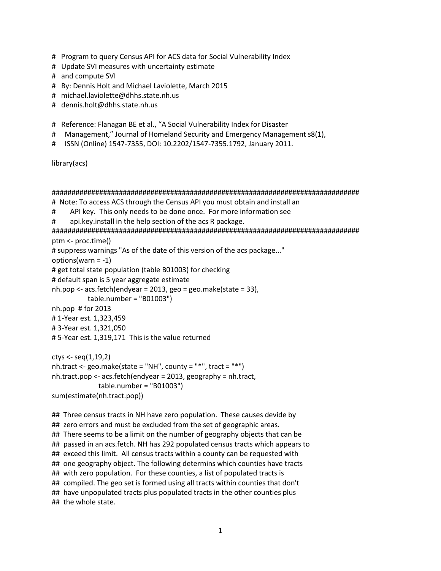- # Program to query Census API for ACS data for Social Vulnerability Index
- # Update SVI measures with uncertainty estimate
- # and compute SVI
- # By: Dennis Holt and Michael Laviolette, March 2015
- # michael.laviolette@dhhs.state.nh.us
- # dennis.holt@dhhs.state.nh.us

# Reference: Flanagan BE et al., "A Social Vulnerability Index for Disaster

- # Management," Journal of Homeland Security and Emergency Management s8(1),
- # ISSN (Online) 1547-7355, DOI: 10.2202/1547-7355.1792, January 2011.

library(acs)

```
# Note: To access ACS through the Census API you must obtain and install an
    API key. This only needs to be done once. For more information see
##api.key.install in the help section of the acs R package.
ptm <- proc.time()
# suppress warnings "As of the date of this version of the acs package..."
options (warn = -1)
# get total state population (table B01003) for checking
# default span is 5 year aggregate estimate
nh.pop < -acs.fetch(endyear = 2013, geo = geo.make(state = 33),table.number = "B01003"nh.pop # for 2013
#1-Year est. 1,323,459
#3-Year est. 1,321,050
#5-Year est. 1,319,171 This is the value returned
ctys < -seq(1, 19, 2)nh.tract <- geo.make(state = "NH", county = "*", tract = "*")
nh.tract.pop < -acs.fetch(endyear = 2013, geography = nh.tract,table.number = "B01003")sum(estimate(nh.tract.pop))
## Three census tracts in NH have zero population. These causes devide by
```
## zero errors and must be excluded from the set of geographic areas. ## There seems to be a limit on the number of geography objects that can be ## passed in an acs.fetch. NH has 292 populated census tracts which appears to ## exceed this limit. All census tracts within a county can be requested with ## one geography object. The following determins which counties have tracts ## with zero population. For these counties, a list of populated tracts is ## compiled. The geo set is formed using all tracts within counties that don't ## have unpopulated tracts plus populated tracts in the other counties plus ## the whole state.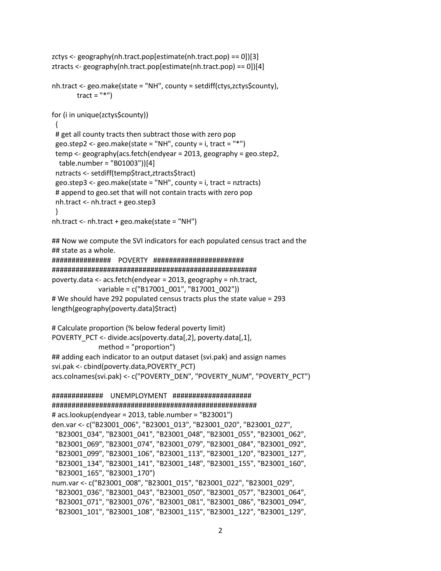```
zctys <- geography(nh.tract.pop[estimate(nh.tract.pop) == 0])[3]
ztracts <- geography(nh.tract.pop[estimate(nh.tract.pop) == 0])[4]
nh.tract <- geo.make(state = "NH", county = setdiff(ctys,zctys$county),
       tract = "*")
for (i in unique(zctys$county))
 { 
# get all county tracts then subtract those with zero pop
 geo.step2 <- geo.make(state = "NH", county = i, tract = "*")
 temp <- geography(acs.fetch(endyear = 2013, geography = geo.step2, 
  table.number = "B01003"))[4]
  nztracts <- setdiff(temp$tract,ztracts$tract)
  geo.step3 <- geo.make(state = "NH", county = i, tract = nztracts)
  # append to geo.set that will not contain tracts with zero pop
  nh.tract <- nh.tract + geo.step3
 }
nh.tract <- nh.tract + geo.make(state = "NH")
## Now we compute the SVI indicators for each populated census tract and the 
## state as a whole.
############### POVERTY #######################
####################################################
poverty.data <- acs.fetch(endyear = 2013, geography = nh.tract, 
              variable = c("B17001_001", "B17001_002"))
# We should have 292 populated census tracts plus the state value = 293
length(geography(poverty.data)$tract)
# Calculate proportion (% below federal poverty limit)
POVERTY_PCT <- divide.acs(poverty.data[,2], poverty.data[,1],
              method = "proportion")
## adding each indicator to an output dataset (svi.pak) and assign names
svi.pak <- cbind(poverty.data,POVERTY_PCT)
acs.colnames(svi.pak) <- c("POVERTY_DEN", "POVERTY_NUM", "POVERTY_PCT")
############# UNEMPLOYMENT ####################
####################################################
# acs.lookup(endyear = 2013, table.number = "B23001")
den.var <- c("B23001_006", "B23001_013", "B23001_020", "B23001_027",
  "B23001_034", "B23001_041", "B23001_048", "B23001_055", "B23001_062",
  "B23001_069", "B23001_074", "B23001_079", "B23001_084", "B23001_092",
  "B23001_099", "B23001_106", "B23001_113", "B23001_120", "B23001_127",
  "B23001_134", "B23001_141", "B23001_148", "B23001_155", "B23001_160",
  "B23001_165", "B23001_170")
num.var <- c("B23001_008", "B23001_015", "B23001_022", "B23001_029", 
  "B23001_036", "B23001_043", "B23001_050", "B23001_057", "B23001_064", 
  "B23001_071", "B23001_076", "B23001_081", "B23001_086", "B23001_094", 
  "B23001_101", "B23001_108", "B23001_115", "B23001_122", "B23001_129",
```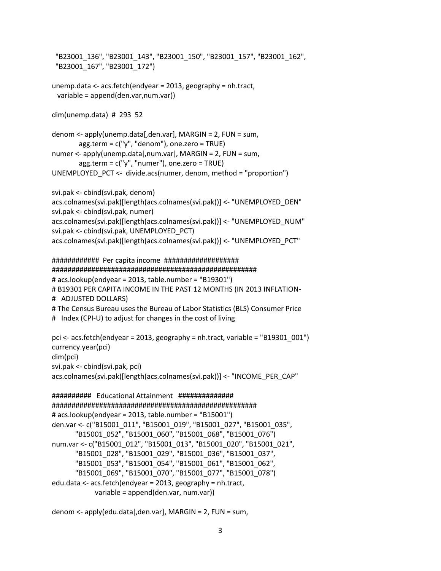```
 "B23001_136", "B23001_143", "B23001_150", "B23001_157", "B23001_162", 
  "B23001_167", "B23001_172")
unemp.data <- acs.fetch(endyear = 2013, geography = nh.tract, 
  variable = append(den.var,num.var))
dim(unemp.data) # 293 52
denom <- apply(unemp.data[,den.var], MARGIN = 2, FUN = sum, 
       agg-term = c("y", "denom"), one-zero = TRUE)numer <- apply(unemp.data[,num.var], MARGIN = 2, FUN = sum,
       agg-term = c("y", "numer"), one.zero = TRUE)UNEMPLOYED_PCT <- divide.acs(numer, denom, method = "proportion")
svi.pak <- cbind(svi.pak, denom)
acs.colnames(svi.pak)[length(acs.colnames(svi.pak))] <- "UNEMPLOYED_DEN"
svi.pak <- cbind(svi.pak, numer)
acs.colnames(svi.pak)[length(acs.colnames(svi.pak))] <- "UNEMPLOYED_NUM"
svi.pak <- cbind(svi.pak, UNEMPLOYED_PCT)
acs.colnames(svi.pak)[length(acs.colnames(svi.pak))] <- "UNEMPLOYED_PCT"
############ Per capita income ###################
####################################################
# acs.lookup(endyear = 2013, table.number = "B19301")
# B19301 PER CAPITA INCOME IN THE PAST 12 MONTHS (IN 2013 INFLATION-
# ADJUSTED DOLLARS)
# The Census Bureau uses the Bureau of Labor Statistics (BLS) Consumer Price 
# Index (CPI-U) to adjust for changes in the cost of living
pci <- acs.fetch(endyear = 2013, geography = nh.tract, variable = "B19301_001")
currency.year(pci)
dim(pci)
svi.pak <- cbind(svi.pak, pci)
acs.colnames(svi.pak)[length(acs.colnames(svi.pak))] <- "INCOME_PER_CAP"
########## Educational Attainment ##############
####################################################
# acs.lookup(endyear = 2013, table.number = "B15001")
den.var <- c("B15001_011", "B15001_019", "B15001_027", "B15001_035",
       "B15001_052", "B15001_060", "B15001_068", "B15001_076")
num.var <- c("B15001_012", "B15001_013", "B15001_020", "B15001_021",
       "B15001_028", "B15001_029", "B15001_036", "B15001_037",
       "B15001_053", "B15001_054", "B15001_061", "B15001_062",
       "B15001_069", "B15001_070", "B15001_077", "B15001_078")
edu.data <- acs.fetch(endyear = 2013, geography = nh.tract, 
             variable = append(den.var, num.var))
```
denom <- apply(edu.data[,den.var], MARGIN = 2, FUN = sum,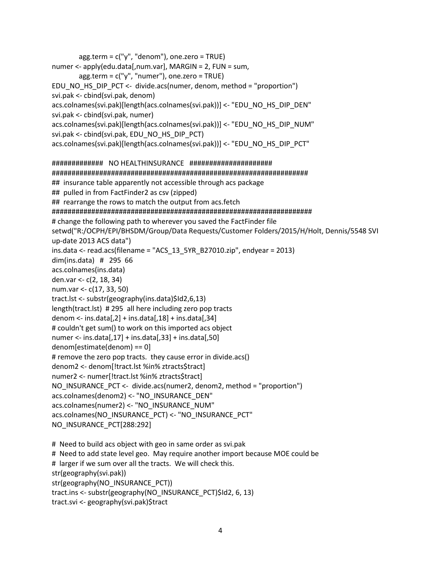```
agg.term = c("y", "denom"), one.zero = TRUE)
numer <- apply(edu.data[,num.var], MARGIN = 2, FUN = sum,
       agg-term = c("y", "numer"), one-zero = TRUE)EDU_NO_HS_DIP_PCT <- divide.acs(numer, denom, method = "proportion")
svi.pak <- cbind(svi.pak, denom)
acs.colnames(svi.pak)[length(acs.colnames(svi.pak))] <- "EDU_NO_HS_DIP_DEN"
svi.pak <- cbind(svi.pak, numer)
acs.colnames(svi.pak)[length(acs.colnames(svi.pak))] <- "EDU_NO_HS_DIP_NUM"
svi.pak <- cbind(svi.pak, EDU_NO_HS_DIP_PCT)
acs.colnames(svi.pak)[length(acs.colnames(svi.pak))] <- "EDU NO HS DIP PCT"
## insurance table apparently not accessible through acs package
## pulled in from FactFinder2 as csv (zipped)
## rearrange the rows to match the output from acs.fetch
# change the following path to wherever you saved the FactFinder file
setwd("R:/OCPH/EPI/BHSDM/Group/Data Requests/Customer Folders/2015/H/Holt, Dennis/5548 SVI
up-date 2013 ACS data")
ins.data <- read.acs(filename = "ACS 13 5YR B27010.zip", endyear = 2013)
dim(ins.data) # 295 66
acs.colnames(ins.data)
den.var <- c(2, 18, 34)
num.var <- c(17, 33, 50)
tract.lst <- substr(geography(ins.data)$Id2,6,13)
length(tract.lst) #295 all here including zero pop tracts
denom <- ins.data[2] + ins.data[18] + ins.data[34]# couldn't get sum() to work on this imported acs object
numer <- ins.data[0.17] + ins.data[0.33] + ins.data[0.50]denom[estimate(denom) == 0]
# remove the zero pop tracts. they cause error in divide.acs()
denom2 <- denom[!tract.lst %in% ztracts$tract]
numer2 <- numer[!tract.lst %in% ztracts$tract]
NO INSURANCE PCT <- divide.acs(numer2, denom2, method = "proportion")
acs.colnames(denom2) <- "NO_INSURANCE_DEN"
acs.colnames(numer2) <- "NO INSURANCE NUM"
acs.colnames(NO INSURANCE PCT) <- "NO INSURANCE PCT"
NO_INSURANCE_PCT[288:292]
# Need to build acs object with geo in same order as svi.pak
# Need to add state level geo. May require another import because MOE could be
```
# larger if we sum over all the tracts. We will check this. str(geography(svi.pak)) str(geography(NO INSURANCE PCT)) tract.ins <- substr(geography(NO INSURANCE PCT)\$Id2, 6, 13) tract.svi <- geography(svi.pak)\$tract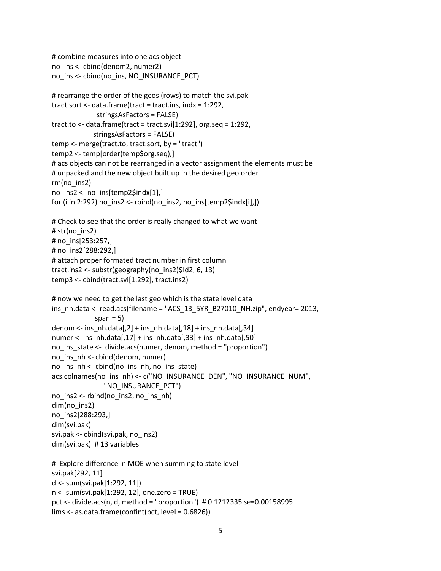```
# combine measures into one acs object
no_ins <- cbind(denom2, numer2)
no_ins <- cbind(no_ins, NO_INSURANCE_PCT)
# rearrange the order of the geos (rows) to match the svi.pak
tract.sort <- data.frame(tract = tract.ins, indx = 1:292,
              stringsAsFactors = FALSE)
tract.to <- data.frame(tract = tract.svi[1:292], org.seq = 1:292,
             stringsAsFactors = FALSE)
temp <- merge(tract.to, tract.sort, by = "tract")
temp2 <- temp[order(temp$org.seq),]
# acs objects can not be rearranged in a vector assignment the elements must be 
# unpacked and the new object built up in the desired geo order
rm(no_ins2)
no ins2 <- no ins[temp2$indx[1],]
for (i in 2:292) no ins2 <- rbind(no ins2, no ins[temp2\text{sindx}[i],])
# Check to see that the order is really changed to what we want
# str(no_ins2)
# no_ins[253:257,]
# no_ins2[288:292,]
# attach proper formated tract number in first column
tract.ins2 <- substr(geography(no_ins2)$Id2, 6, 13)
temp3 <- cbind(tract.svi[1:292], tract.ins2)
# now we need to get the last geo which is the state level data
ins_nh.data <- read.acs(filename = "ACS_13_5YR_B27010_NH.zip", endyear= 2013,
             span = 5)
denom <- ins_nh.data[,2] + ins_nh.data[,18] + ins_nh.data[,34]
numer <- ins_nh.data[,17] + ins_nh.data[,33] + ins_nh.data[,50]
no_ins_state <- divide.acs(numer, denom, method = "proportion")
no_ins_nh <- cbind(denom, numer)
no ins nh <- cbind(no ins nh, no ins state)
acs.colnames(no_ins_nh) <- c("NO_INSURANCE_DEN", "NO_INSURANCE_NUM", 
                 "NO_INSURANCE_PCT")
no ins2 < - rbind(no ins2, no ins nh)
dim(no_ins2)
no_ins2[288:293,]
dim(svi.pak)
svi.pak <- cbind(svi.pak, no_ins2)
dim(svi.pak) # 13 variables
# Explore difference in MOE when summing to state level
svi.pak[292, 11]
d <- sum(svi.pak[1:292, 11])
n <- sum(svi.pak[1:292, 12], one.zero = TRUE)
pct <- divide.acs(n, d, method = "proportion") # 0.1212335 se=0.00158995
lims <- as.data.frame(confint(pct, level = 0.6826))
```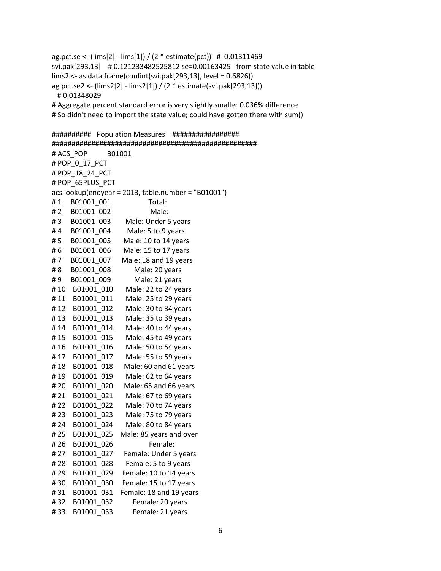ag.pct.se <- (lims[2] - lims[1]) / (2 \* estimate(pct)) # 0.01311469 svi.pak[293,13] # 0.121233482525812 se=0.00163425 from state value in table lims2 <- as.data.frame(confint(svi.pak[293,13], level = 0.6826)) ag.pct.se2 <- (lims2[2] - lims2[1]) / (2 \* estimate(svi.pak[293,13])) # 0.01348029 # Aggregate percent standard error is very slightly smaller 0.036% difference # So didn't need to import the state value; could have gotten there with sum()

########## Population Measures ################# #################################################### # ACS\_POP B01001 # POP\_0\_17\_PCT # POP\_18\_24\_PCT # POP\_65PLUS\_PCT acs.lookup(endyear = 2013, table.number = "B01001") #1 B01001 001 Total: # 2 B01001 002 Male: # 3 B01001\_003 Male: Under 5 years #4 B01001 004 Male: 5 to 9 years # 5 B01001\_005 Male: 10 to 14 years # 6 B01001 006 Male: 15 to 17 years # 7 B01001 007 Male: 18 and 19 years # 8 B01001\_008 Male: 20 years #9 B01001 009 Male: 21 years # 10 B01001\_010 Male: 22 to 24 years #11 B01001 011 Male: 25 to 29 years #12 B01001 012 Male: 30 to 34 years # 13 B01001\_013 Male: 35 to 39 years # 14 B01001\_014 Male: 40 to 44 years #15 B01001 015 Male: 45 to 49 years #16 B01001 016 Male: 50 to 54 years # 17 B01001\_017 Male: 55 to 59 years #18 B01001 018 Male: 60 and 61 years #19 B01001 019 Male: 62 to 64 years # 20 B01001 020 Male: 65 and 66 years # 21 B01001 021 Male: 67 to 69 years # 22 B01001\_022 Male: 70 to 74 years # 23 B01001 023 Male: 75 to 79 years # 24 B01001\_024 Male: 80 to 84 years # 25 B01001\_025 Male: 85 years and over # 26 B01001\_026 Female: # 27 B01001 027 Female: Under 5 years # 28 B01001\_028 Female: 5 to 9 years # 29 B01001 029 Female: 10 to 14 years #30 B01001 030 Female: 15 to 17 years #31 B01001 031 Female: 18 and 19 years # 32 B01001\_032 Female: 20 years

#33 B01001 033 Female: 21 years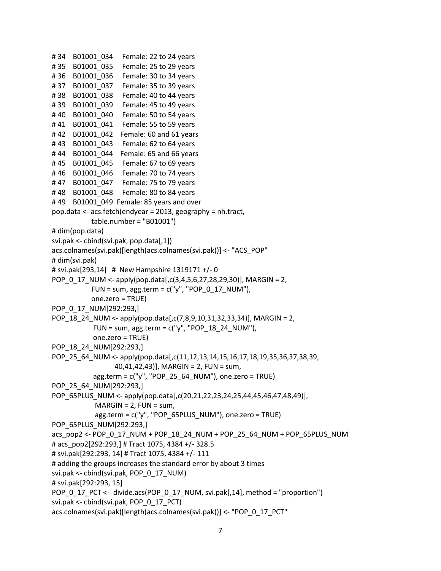```
#34 B01001 034 Female: 22 to 24 years
# 35 B01001_035 Female: 25 to 29 years 
#36 B01001 036 Female: 30 to 34 years
#37 B01001 037 Female: 35 to 39 years
#38 B01001 038 Female: 40 to 44 years
# 39 B01001_039 Female: 45 to 49 years 
# 40 B01001_040 Female: 50 to 54 years 
#41 B01001 041 Female: 55 to 59 years
#42 B01001 042 Female: 60 and 61 years
#43 B01001 043 Female: 62 to 64 years
#44 B01001 044 Female: 65 and 66 years
#45 B01001 045 Female: 67 to 69 years
#46 B01001 046 Female: 70 to 74 years
#47 B01001 047 Female: 75 to 79 years
#48 B01001 048 Female: 80 to 84 years
#49 B01001 049 Female: 85 years and over
pop.data <- acs.fetch(endyear = 2013, geography = nh.tract, 
            table.number = "B01001")
# dim(pop.data)
svi.pak <- cbind(svi.pak, pop.data[,1])
acs.colnames(svi.pak)[length(acs.colnames(svi.pak))] <- "ACS_POP"
# dim(svi.pak)
# svi.pak[293,14] # New Hampshire 1319171 +/- 0
POP_0_17_NUM <- apply(pop.data[,c(3,4,5,6,27,28,29,30)], MARGIN = 2,
           FUN = sum, agg.term = c("y", "POP_0_17_NUM"),
            one.zero = TRUE)
POP_0_17_NUM[292:293,]
POP_18_24_NUM <- apply(pop.data[,c(7,8,9,10,31,32,33,34)], MARGIN = 2,
           FUN = sum, agg.term = c("y", "POP_18_24_NUM"),
            one.zero = TRUE)
POP_18_24_NUM[292:293,]
POP_25_64_NUM <- apply(pop.data[,c(11,12,13,14,15,16,17,18,19,35,36,37,38,39,
                  40,41,42,43)], MARGIN = 2, FUN = sum,
            agg.term = c("y", "POP_25_64_NUM"), one.zero = TRUE)
POP 25 64_NUM[292:293,]
POP_65PLUS_NUM <- apply(pop.data[,c(20,21,22,23,24,25,44,45,46,47,48,49)],
            MARGIN = 2, FUN = sum,
             agg.term = c("y", "POP_65PLUS_NUM"), one.zero = TRUE)
POP_65PLUS_NUM[292:293,]
acs_pop2 <- POP_0_17_NUM + POP_18_24_NUM + POP_25_64_NUM + POP_65PLUS_NUM
# acs_pop2[292:293,] # Tract 1075, 4384 +/- 328.5
# svi.pak[292:293, 14] # Tract 1075, 4384 +/- 111
# adding the groups increases the standard error by about 3 times
svi.pak <- cbind(svi.pak, POP_0_17_NUM)
# svi.pak[292:293, 15]
POP_0_17_PCT <- divide.acs(POP_0_17_NUM, svi.pak[,14], method = "proportion")
svi.pak <- cbind(svi.pak, POP_0_17_PCT)
acs.colnames(svi.pak)[length(acs.colnames(svi.pak))] <- "POP_0_17_PCT"
```

```
7
```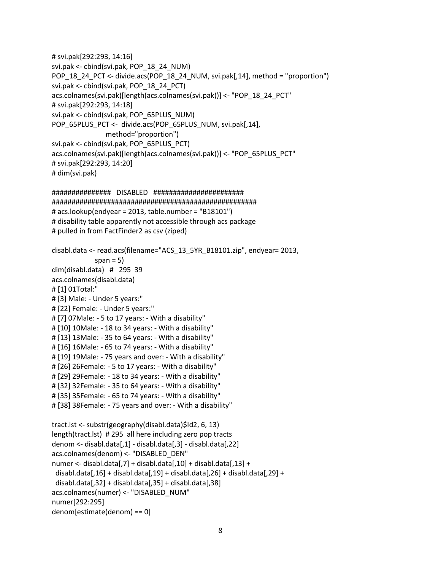```
# svi.pak[292:293, 14:16]
svi.pak <- cbind(svi.pak, POP_18_24_NUM)
POP_18_24_PCT <- divide.acs(POP_18_24_NUM, svi.pak[,14], method = "proportion")
svi.pak <- cbind(svi.pak, POP_18_24_PCT)
acs.colnames(svi.pak)[length(acs.colnames(svi.pak))] <- "POP_18_24_PCT"
# svi.pak[292:293, 14:18]
svi.pak <- cbind(svi.pak, POP_65PLUS_NUM)
POP_65PLUS_PCT <- divide.acs(POP_65PLUS_NUM, svi.pak[,14],
                 method="proportion")
svi.pak <- cbind(svi.pak, POP_65PLUS_PCT)
acs.colnames(svi.pak)[length(acs.colnames(svi.pak))] <- "POP_65PLUS_PCT"
# svi.pak[292:293, 14:20]
# dim(svi.pak)
############### DISABLED #######################
####################################################
# acs.lookup(endyear = 2013, table.number = "B18101")
# disability table apparently not accessible through acs package
# pulled in from FactFinder2 as csv (ziped)
disabl.data <- read.acs(filename="ACS_13_5YR_B18101.zip", endyear= 2013, 
             span = 5)
dim(disabl.data) # 295 39
acs.colnames(disabl.data)
# [1] 01Total:" 
# [3] Male: - Under 5 years:" 
# [22] Female: - Under 5 years:" 
# [7] 07Male: - 5 to 17 years: - With a disability" 
# [10] 10Male: - 18 to 34 years: - With a disability" 
# [13] 13Male: - 35 to 64 years: - With a disability" 
# [16] 16Male: - 65 to 74 years: - With a disability" 
# [19] 19Male: - 75 years and over: - With a disability" 
# [26] 26Female: - 5 to 17 years: - With a disability" 
# [29] 29Female: - 18 to 34 years: - With a disability" 
# [32] 32Female: - 35 to 64 years: - With a disability"
```
# [35] 35Female: - 65 to 74 years: - With a disability"

```
# [38] 38Female: - 75 years and over: - With a disability"
```

```
tract.lst <- substr(geography(disabl.data)$Id2, 6, 13)
length(tract.lst) # 295 all here including zero pop tracts
denom <- disabl.data[,1] - disabl.data[,3] - disabl.data[,22] 
acs.colnames(denom) <- "DISABLED_DEN"
numer <- disabl.data[,7] + disabl.data[,10] + disabl.data[,13] + 
disabl.data[0.16] + disabl.data[0.19] + disabl.data[0.26] + disabl.data[0.29] +
 disabl.data[0.32] +disabl.data[0.35] +disabl.data[0.38]acs.colnames(numer) <- "DISABLED_NUM"
numer[292:295]
denom[estimate(denom) == 0]
```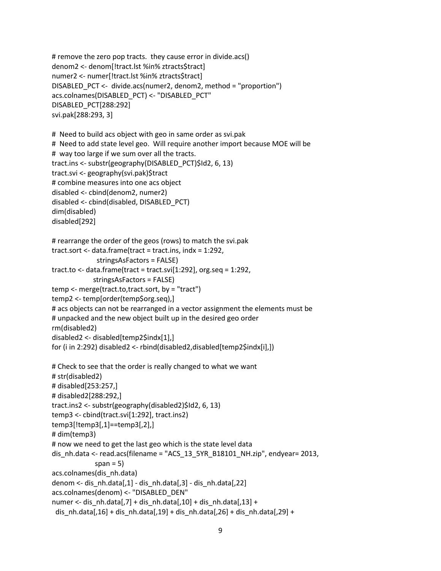```
# remove the zero pop tracts. they cause error in divide.acs()
denom2 <- denom[!tract.lst %in% ztracts$tract] 
numer2 <- numer[!tract.lst %in% ztracts$tract] 
DISABLED_PCT <- divide.acs(numer2, denom2, method = "proportion")
acs.colnames(DISABLED_PCT) <- "DISABLED_PCT"
DISABLED_PCT[288:292]
svi.pak[288:293, 3]
# Need to build acs object with geo in same order as svi.pak 
# Need to add state level geo. Will require another import because MOE will be 
# way too large if we sum over all the tracts. 
tract.ins <- substr(geography(DISABLED_PCT)$Id2, 6, 13)
tract.svi <- geography(svi.pak)$tract
# combine measures into one acs object
disabled <- cbind(denom2, numer2)
disabled <- cbind(disabled, DISABLED_PCT)
dim(disabled)
disabled[292]
# rearrange the order of the geos (rows) to match the svi.pak
tract.sort <- data.frame(tract = tract.ins, indx = 1:292,
              stringsAsFactors = FALSE)
tract.to <- data.frame(tract = tract.svi[1:292], org.seq = 1:292,
             stringsAsFactors = FALSE)
temp <- merge(tract.to,tract.sort, by = "tract")
temp2 <- temp[order(temp$org.seq),]
# acs objects can not be rearranged in a vector assignment the elements must be 
# unpacked and the new object built up in the desired geo order
rm(disabled2)
disabled2 <- disabled[temp2$indx[1],]
for (i in 2:292) disabled2 <- rbind(disabled2,disabled[temp2$indx[i],])
# Check to see that the order is really changed to what we want
# str(disabled2)
# disabled[253:257,]
# disabled2[288:292,]
tract.ins2 <- substr(geography(disabled2)$Id2, 6, 13)
temp3 <- cbind(tract.svi[1:292], tract.ins2)
temp3[!temp3[,1]==temp3[,2],]
# dim(temp3)
# now we need to get the last geo which is the state level data
dis_nh.data <- read.acs(filename = "ACS_13_5YR_B18101_NH.zip", endyear= 2013, 
             span = 5)
acs.colnames(dis_nh.data)
denom <- dis_nh.data[,1] - dis_nh.data[,3] - dis_nh.data[,22] 
acs.colnames(denom) <- "DISABLED_DEN"
numer <- dis_nh.data[,7] + dis_nh.data[,10] + dis_nh.data[,13] +
dis_nh.data[,16] + dis_nh.data[,19] + dis_nh.data[,26] + dis_nh.data[,29] +
```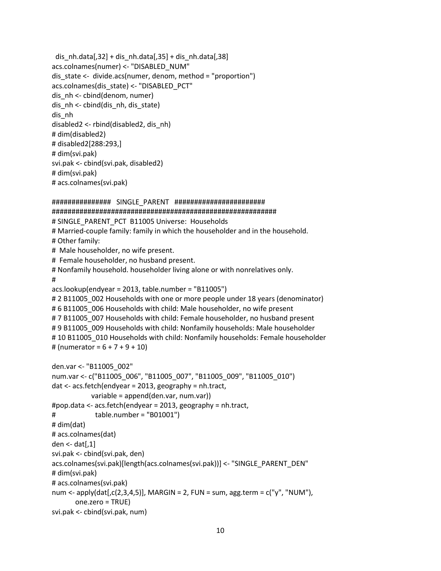```
dis nh.data[,32] + disnh.data[,35] + disnh.data[,38]acs.colnames(numer) <- "DISABLED_NUM"
dis state \leq divide.acs(numer, denom, method = "proportion")
acs.colnames(dis_state) <- "DISABLED_PCT"
dis nh <- cbind(denom, numer)
dis_nh <- cbind(dis_nh, dis_state)
dis_nh
disabled2 <- rbind(disabled2, dis_nh)
# dim(disabled2)
# disabled2[288:293,]
# dim(svi.pak)
svi.pak <- cbind(svi.pak, disabled2)
# dim(svi.pak)
# acs.colnames(svi.pak)
############### SINGLE_PARENT #######################
#########################################################
# SINGLE_PARENT_PCT_B11005 Universe: Households
# Married-couple family: family in which the householder and in the household.
# Other family:
# Male householder, no wife present.
# Female householder, no husband present. 
# Nonfamily household. householder living alone or with nonrelatives only.
```

```
#
```

```
acs.lookup(endyear = 2013, table.number = "B11005")
```

```
# 2 B11005 002 Households with one or more people under 18 years (denominator)
# 6 B11005 006 Households with child: Male householder, no wife present
# 7 B11005 007 Households with child: Female householder, no husband present
# 9 B11005_009 Households with child: Nonfamily households: Male householder 
# 10 B11005_010 Households with child: Nonfamily households: Female householder
# (numerator = 6 + 7 + 9 + 10)
```

```
den.var <- "B11005_002"
num.var <- c("B11005_006", "B11005_007", "B11005_009", "B11005_010")
dat <- acs.fetch(endyear = 2013, geography = nh.tract, 
            variable = append(den.var, num.var))
#pop.data <- acs.fetch(endyear = 2013, geography = nh.tract, 
# table.number = "B01001")
# dim(dat)
# acs.colnames(dat)
den <- dat[,1]
svi.pak <- cbind(svi.pak, den)
acs.colnames(svi.pak)[length(acs.colnames(svi.pak))] <- "SINGLE_PARENT_DEN"
# dim(svi.pak)
# acs.colnames(svi.pak)
num <- apply(dat[,c(2,3,4,5)], MARGIN = 2, FUN = sum, agg.term = c("v", "NUM", one.zero = TRUE)
svi.pak <- cbind(svi.pak, num)
```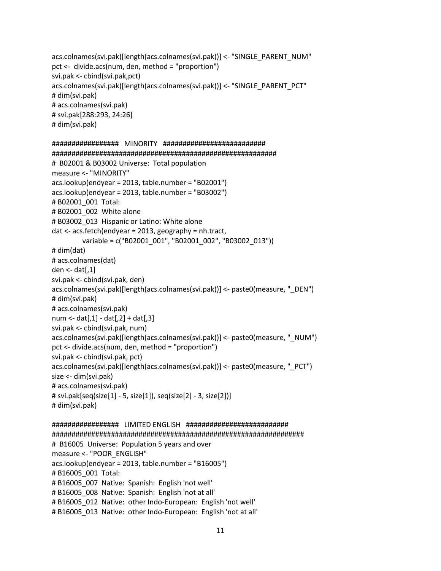acs.colnames(svi.pak)[length(acs.colnames(svi.pak))] <- "SINGLE\_PARENT\_NUM" pct <- divide.acs(num, den, method = "proportion") svi.pak <- cbind(svi.pak,pct) acs.colnames(svi.pak)[length(acs.colnames(svi.pak))] <- "SINGLE\_PARENT\_PCT" # dim(svi.pak) # acs.colnames(svi.pak) # svi.pak[288:293, 24:26] # dim(svi.pak) ################# MINORITY ########################## ######################################################### # B02001 & B03002 Universe: Total population measure <- "MINORITY" acs.lookup(endyear = 2013, table.number = "B02001") acs.lookup(endyear = 2013, table.number = "B03002") # B02001\_001 Total: # B02001\_002 White alone # B03002\_013 Hispanic or Latino: White alone dat <- acs.fetch(endyear = 2013, geography = nh.tract, variable = c("B02001\_001", "B02001\_002", "B03002\_013")) # dim(dat) # acs.colnames(dat) den <- dat[,1] svi.pak <- cbind(svi.pak, den) acs.colnames(svi.pak)[length(acs.colnames(svi.pak))] <- paste0(measure, "\_DEN") # dim(svi.pak) # acs.colnames(svi.pak) num <-  $dat[0,1] - dat[0,2] + dat[0,3]$ svi.pak <- cbind(svi.pak, num) acs.colnames(svi.pak)[length(acs.colnames(svi.pak))] <- paste0(measure, "\_NUM") pct <- divide.acs(num, den, method = "proportion") svi.pak <- cbind(svi.pak, pct) acs.colnames(svi.pak)[length(acs.colnames(svi.pak))] <- paste0(measure, "\_PCT") size <- dim(svi.pak) # acs.colnames(svi.pak) # svi.pak[seq(size[1] - 5, size[1]), seq(size[2] - 3, size[2])] # dim(svi.pak) ################# LIMITED ENGLISH ########################## ################################################################ # B16005 Universe: Population 5 years and over measure <- "POOR\_ENGLISH"

acs.lookup(endyear = 2013, table.number = "B16005")

# B16005\_001 Total:

# B16005\_007\_Native: Spanish: English 'not well'

# B16005\_008\_Native: Spanish: English 'not at all'

# B16005\_012 Native: other Indo-European: English 'not well'

# B16005 013 Native: other Indo-European: English 'not at all'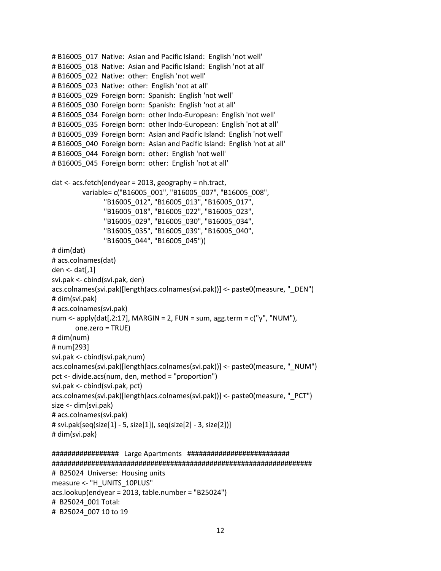```
# B16005 017 Native: Asian and Pacific Island: English 'not well'
# B16005 018 Native: Asian and Pacific Island: English 'not at all'
# B16005 022 Native: other: English 'not well'
# B16005 023 Native: other: English 'not at all'
# B16005_029 Foreign born: Spanish: English 'not well'
# B16005_030 Foreign born: Spanish: English 'not at all' 
# B16005_034 Foreign born: other Indo-European: English 'not well' 
# B16005 035 Foreign born: other Indo-European: English 'not at all'
# B16005_039 Foreign born: Asian and Pacific Island: English 'not well' 
# B16005_040 Foreign born: Asian and Pacific Island: English 'not at all'
# B16005_044 Foreign born: other: English 'not well'
# B16005 045 Foreign born: other: English 'not at all'
dat <- acs.fetch(endyear = 2013, geography = nh.tract, 
          variable= c("B16005_001", "B16005_007", "B16005_008",
                "B16005_012", "B16005_013", "B16005_017",
                "B16005_018", "B16005_022", "B16005_023",
                "B16005_029", "B16005_030", "B16005_034",
                "B16005_035", "B16005_039", "B16005_040",
                "B16005_044", "B16005_045"))
# dim(dat)
# acs.colnames(dat)
den <- dat[,1]
svi.pak <- cbind(svi.pak, den)
acs.colnames(svi.pak)[length(acs.colnames(svi.pak))] <- paste0(measure, "_DEN")
# dim(svi.pak)
# acs.colnames(svi.pak)
num <- apply(dat[,2:17], MARGIN = 2, FUN = sum, agg.term = c("y", "NUM"), one.zero = TRUE)
# dim(num) 
# num[293] 
svi.pak <- cbind(svi.pak,num)
acs.colnames(svi.pak)[length(acs.colnames(svi.pak))] <- paste0(measure, "_NUM")
pct <- divide.acs(num, den, method = "proportion")
svi.pak <- cbind(svi.pak, pct)
acs.colnames(svi.pak)[length(acs.colnames(svi.pak))] <- paste0(measure, "_PCT")
size <- dim(svi.pak)
# acs.colnames(svi.pak)
# svi.pak[seq(size[1] - 5, size[1]), seq(size[2] - 3, size[2])]
# dim(svi.pak)
################# Large Apartments ##########################
```

```
##################################################################
# B25024 Universe: Housing units
measure <- "H_UNITS_10PLUS"
acs.lookup(endyear = 2013, table.number = "B25024")
# B25024_001 Total: 
# B25024_007 10 to 19
```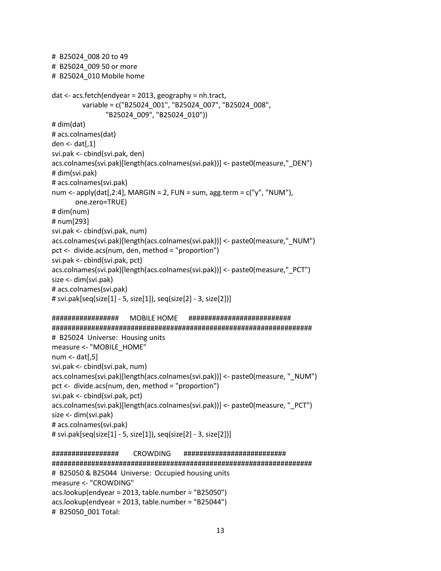```
# B25024_008 20 to 49 
# B25024_009 50 or more 
# B25024_010 Mobile home 
dat <- acs.fetch(endyear = 2013, geography = nh.tract, 
         variable = c("B25024_001", "B25024_007", "B25024_008", 
                 "B25024_009", "B25024_010"))
# dim(dat)
# acs.colnames(dat)
den \le- dat[,1]
svi.pak <- cbind(svi.pak, den)
acs.colnames(svi.pak)[length(acs.colnames(svi.pak))] <- paste0(measure,"_DEN")
# dim(svi.pak)
# acs.colnames(svi.pak)
num <- apply(dat[,2:4], MARGIN = 2, FUN = sum, agg.term = c("y", "NUM"), one.zero=TRUE)
# dim(num) 
# num[293] 
svi.pak <- cbind(svi.pak, num)
acs.colnames(svi.pak)[length(acs.colnames(svi.pak))] <- paste0(measure,"_NUM")
pct <- divide.acs(num, den, method = "proportion")
svi.pak <- cbind(svi.pak, pct)
acs.colnames(svi.pak)[length(acs.colnames(svi.pak))] <- paste0(measure,"_PCT")
size <- dim(svi.pak)
# acs.colnames(svi.pak)
# svi.pak[seq(size[1] - 5, size[1]), seq(size[2] - 3, size[2])]
################# MOBILE HOME ##########################
##################################################################
# B25024 Universe: Housing units
measure <- "MOBILE_HOME"
num <- dat[,5]
svi.pak <- cbind(svi.pak, num)
acs.colnames(svi.pak)[length(acs.colnames(svi.pak))] <- paste0(measure, "_NUM")
pct <- divide.acs(num, den, method = "proportion")
svi.pak <- cbind(svi.pak, pct)
acs.colnames(svi.pak)[length(acs.colnames(svi.pak))] <- paste0(measure, "_PCT")
size <- dim(svi.pak)
# acs.colnames(svi.pak)
# svi.pak[seq(size[1] - 5, size[1]), seq(size[2] - 3, size[2])]
################# CROWDING ##########################
##################################################################
```

```
# B25050 & B25044 Universe: Occupied housing units
measure <- "CROWDING"
acs.lookup(endyear = 2013, table.number = "B25050")
acs.lookup(endyear = 2013, table.number = "B25044")
# B25050_001 Total:
```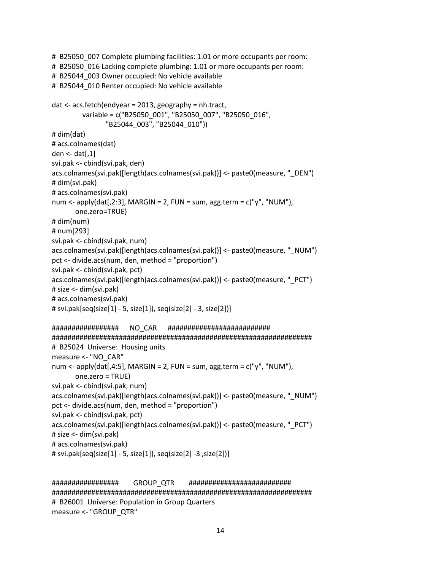```
# B25050_007 Complete plumbing facilities: 1.01 or more occupants per room: 
# B25050_016 Lacking complete plumbing: 1.01 or more occupants per room:
# B25044 003 Owner occupied: No vehicle available
# B25044_010 Renter occupied: No vehicle available 
dat <- acs.fetch(endyear = 2013, geography = nh.tract, 
          variable = c("B25050_001", "B25050_007", "B25050_016",
                 "B25044_003", "B25044_010"))
# dim(dat)
# acs.colnames(dat)
den \le- dat[,1]
svi.pak <- cbind(svi.pak, den)
acs.colnames(svi.pak)[length(acs.colnames(svi.pak))] <- paste0(measure, "_DEN")
# dim(svi.pak)
# acs.colnames(svi.pak)
num <- apply(dat[,2:3], MARGIN = 2, FUN = sum, agg.term = c("y", "NUM"), one.zero=TRUE)
# dim(num) 
# num[293] 
svi.pak <- cbind(svi.pak, num)
acs.colnames(svi.pak)[length(acs.colnames(svi.pak))] <- paste0(measure, "_NUM")
pct <- divide.acs(num, den, method = "proportion")
svi.pak <- cbind(svi.pak, pct)
acs.colnames(svi.pak)[length(acs.colnames(svi.pak))] <- paste0(measure, "_PCT")
# size <- dim(svi.pak)
# acs.colnames(svi.pak)
# svi.pak[seq(size[1] - 5, size[1]), seq(size[2] - 3, size[2])]
################# NO_CAR ##########################
##################################################################
# B25024 Universe: Housing units
measure <- "NO_CAR"
num <- apply(dat[,4:5], MARGIN = 2, FUN = sum, agg.term = c("y", "NUM", one.zero = TRUE)
svi.pak <- cbind(svi.pak, num)
acs.colnames(svi.pak)[length(acs.colnames(svi.pak))] <- paste0(measure, "_NUM")
pct <- divide.acs(num, den, method = "proportion")
svi.pak <- cbind(svi.pak, pct)
acs.colnames(svi.pak)[length(acs.colnames(svi.pak))] <- paste0(measure, "_PCT")
# size <- dim(svi.pak)
# acs.colnames(svi.pak)
# svi.pak[seq(size[1] - 5, size[1]), seq(size[2] -3 ,size[2])]
```
################# GROUP\_QTR ########################## ################################################################## # B26001 Universe: Population in Group Quarters measure <- "GROUP\_QTR"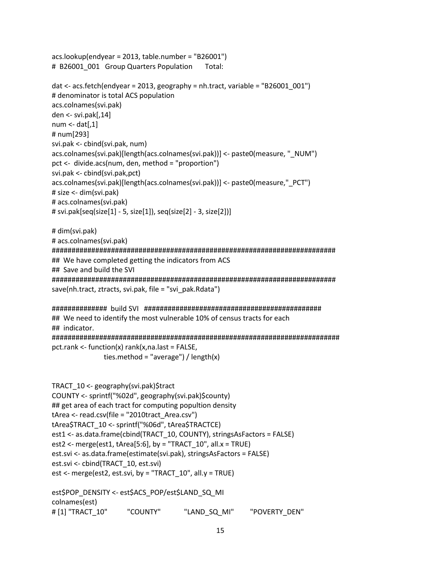acs.lookup(endyear = 2013, table.number = "B26001") # B26001\_001 Group Quarters Population Total:

```
dat <- acs.fetch(endyear = 2013, geography = nh.tract, variable = "B26001_001")
# denominator is total ACS population
acs.colnames(svi.pak)
den <- svi.pak[,14]
num \le- dat[,1]# num[293] 
svi.pak <- cbind(svi.pak, num)
acs.colnames(svi.pak)[length(acs.colnames(svi.pak))] <- paste0(measure, "_NUM")
pct <- divide.acs(num, den, method = "proportion")
svi.pak <- cbind(svi.pak,pct)
acs.colnames(svi.pak)[length(acs.colnames(svi.pak))] <- paste0(measure,"_PCT")
# size <- dim(svi.pak)
# acs.colnames(svi.pak)
# svi.pak[seq(size[1] - 5, size[1]), seq(size[2] - 3, size[2])]
```
# dim(svi.pak) # acs.colnames(svi.pak) ######################################################################## ## We have completed getting the indicators from ACS ## Save and build the SVI ######################################################################## save(nh.tract, ztracts, svi.pak, file = "svi\_pak.Rdata")

```
############## build SVI #############################################
## We need to identify the most vulnerable 10% of census tracts for each
## indicator. 
#########################################################################
pct.rank <- function(x) rank(x,na.last = FALSE, 
               ties.method = "average") / length(x)
```

```
TRACT_10 <- geography(svi.pak)$tract
COUNTY <- sprintf("%02d", geography(svi.pak)$county)
## get area of each tract for computing popultion density
tArea <- read.csv(file = "2010tract_Area.csv")
tArea$TRACT_10 <- sprintf("%06d", tArea$TRACTCE)
est1 <- as.data.frame(cbind(TRACT_10, COUNTY), stringsAsFactors = FALSE)
est2 <- merge(est1, tArea[5:6], by = "TRACT_10", all.x = TRUE)
est.svi <- as.data.frame(estimate(svi.pak), stringsAsFactors = FALSE)
est.svi <- cbind(TRACT_10, est.svi)
est \le- merge(est2, est.svi, by = "TRACT_10", all.y = TRUE)
```
est\$POP\_DENSITY <- est\$ACS\_POP/est\$LAND\_SQ\_MI colnames(est) # [1] "TRACT\_10" "COUNTY" "LAND\_SQ\_MI" "POVERTY\_DEN"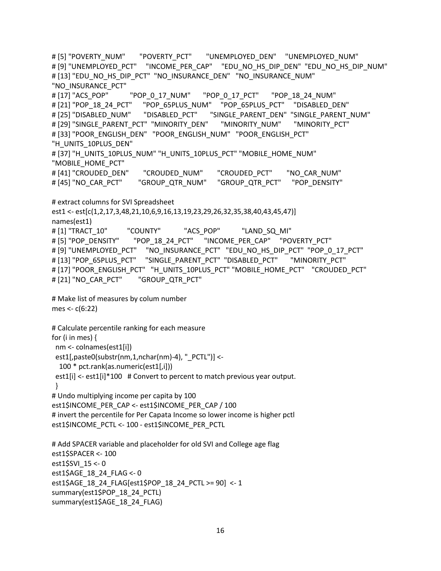```
# [5] "POVERTY_NUM" "POVERTY_PCT" "UNEMPLOYED_DEN" "UNEMPLOYED_NUM" 
# [9] "UNEMPLOYED_PCT" "INCOME_PER_CAP" "EDU_NO_HS_DIP_DEN" "EDU_NO_HS_DIP_NUM" 
# [13] "EDU_NO_HS_DIP_PCT" "NO_INSURANCE_DEN" "NO_INSURANCE_NUM" 
"NO_INSURANCE_PCT" 
# [17] "ACS_POP" "POP_0_17_NUM" "POP_0_17_PCT" "POP_18_24_NUM"
# [21] "POP_18_24_PCT" "POP_65PLUS_NUM" "POP_65PLUS_PCT" "DISABLED_DEN" 
# [25] "DISABLED_NUM" "DISABLED_PCT" "SINGLE_PARENT_DEN" "SINGLE_PARENT_NUM" 
# [29] "SINGLE_PARENT_PCT" "MINORITY_DEN" | "MINORITY_NUM" | "MINORITY_PCT"
# [33] "POOR_ENGLISH_DEN" "POOR_ENGLISH_NUM" "POOR_ENGLISH_PCT" 
"H_UNITS_10PLUS_DEN"
# [37] "H_UNITS_10PLUS_NUM" "H_UNITS_10PLUS_PCT" "MOBILE_HOME_NUM"
"MOBILE_HOME_PCT" 
# [41] "CROUDED_DEN" "CROUDED_NUM" "CROUDED_PCT" "NO_CAR_NUM" 
# [45] "NO_CAR_PCT" "GROUP_QTR_NUM" "GROUP_QTR_PCT" "POP_DENSITY"
# extract columns for SVI Spreadsheet
est1 <- est[c(1,2,17,3,48,21,10,6,9,16,13,19,23,29,26,32,35,38,40,43,45,47)]
names(est1)
# [1] "TRACT 10" "COUNTY" "ACS POP" "LAND SQ MI"
# [5] "POP_DENSITY" "POP_18_24_PCT" "INCOME_PER_CAP" "POVERTY_PCT" 
# [9] "UNEMPLOYED_PCT" "NO_INSURANCE_PCT" "EDU_NO_HS_DIP_PCT" "POP_0_17_PCT" 
# [13] "POP_65PLUS_PCT" "SINGLE_PARENT_PCT" "DISABLED_PCT" "MINORITY_PCT"
# [17] "POOR_ENGLISH_PCT" "H_UNITS_10PLUS_PCT" "MOBILE_HOME_PCT" "CROUDED_PCT" 
# [21] "NO_CAR_PCT" "GROUP_QTR_PCT" 
# Make list of measures by colum number
mes <- c(6:22)
# Calculate percentile ranking for each measure
for (i in mes) { 
 nm <- colnames(est1[i])
 est1[,paste0(substr(nm,1,nchar(nm)-4), "_PCTL")] <-
  100 * pct.rank(as.numeric(est1[,i]))
est1[i] <- est1[i]*100 # Convert to percent to match previous year output.
 }
# Undo multiplying income per capita by 100
est1$INCOME_PER_CAP <- est1$INCOME_PER_CAP / 100
# invert the percentile for Per Capata Income so lower income is higher pctl
est1$INCOME_PCTL <- 100 - est1$INCOME_PER_PCTL
# Add SPACER variable and placeholder for old SVI and College age flag
est1$SPACER <- 100
est1$SVI_15 <- 0
est1$AGE_18_24_FLAG <- 0
est1$AGE_18_24_FLAG[est1$POP_18_24_PCTL >= 90] <- 1
summary(est1$POP_18_24_PCTL)
```

```
16
```
summary(est1\$AGE\_18\_24\_FLAG)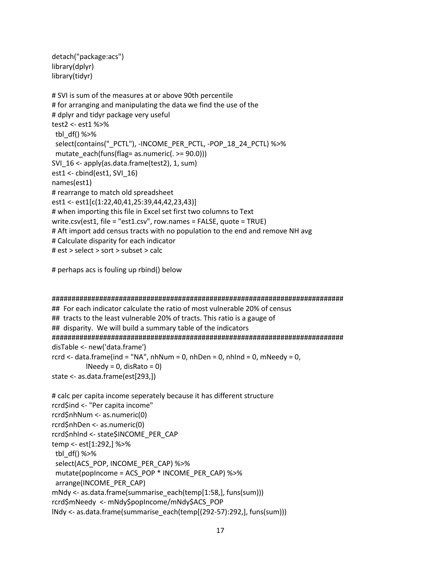```
detach("package:acs")
library(dplyr)
library(tidyr)
```

```
# SVI is sum of the measures at or above 90th percentile
# for arranging and manipulating the data we find the use of the
# dplyr and tidyr package very useful
test2 <- est1 %>%
tbl df() %>%
select(contains(" PCTL"), -INCOME PER PCTL, -POP 18 24 PCTL) %>%
 mutate_each(funs(flag= as.numeric(. >= 90.0)))
SVI 16 \le- apply(as.data.frame(test2), 1, sum)
est1 <- cbind(est1, SVI\_16)
names(est1)
# rearrange to match old spreadsheet
est1 <- est1[c(1:22,40,41,25:39,44,42,23,43)]
# when importing this file in Excel set first two columns to Text
write.csv(est1, file = "est1.csv", row.names = FALSE, quote = TRUE)
# Aft import add census tracts with no population to the end and remove NH avg
# Calculate disparity for each indicator
# est > select > sort > subset > calc
```
# perhaps acs is fouling up rbind() below

```
## For each indicator calculate the ratio of most vulnerable 20% of census
## tracts to the least vulnerable 20% of tracts. This ratio is a gauge of
## disparity. We will build a summary table of the indicators
disTable <- new('data.frame')
rcrd <- data.frame(ind = "NA", nhNum = 0, nhDen = 0, nhInd = 0, mNeedy = 0,
       \text{Needy} = 0, disRato = 0)
state <- as.data.frame(est[293,])
```

```
# calc per capita income seperately because it has different structure
rcrd$ind <- "Per capita income"
rcrd$nhNum < -as.numeric(0)
rcrd$nhDen <- as.numeric(0)
rcrd$nhInd <- state$INCOME PER CAP
temp <- est[1:292,] %>%
tbl df() %>%
select(ACS_POP, INCOME_PER_CAP) %>%
mutate(popIncome = ACS POP * INCOME PER CAP) %>%
 arrange(INCOME PER CAP)
mNdy <- as.data.frame(summarise each(temp[1:58,], funs(sum)))
rcrd$mNeedy <- mNdy$popIncome/mNdy$ACS_POP
INdy <- as.data.frame(summarise each(temp[(292-57):292,], funs(sum)))
```